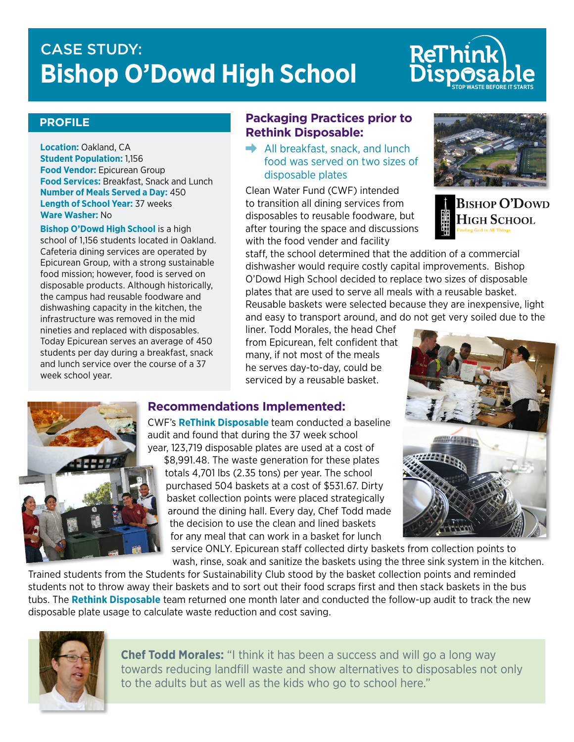# CASE STUDY: T **Bishop O'Dowd High School**

# **STOP WASTE BEFORE IT STARTS**

### **PROFILE**

**Location:** Oakland, CA **Student Population:** 1,156 **Food Vendor:** Epicurean Group **Food Services:** Breakfast, Snack and Lunch **Number of Meals Served a Day:** 450 **Length of School Year:** 37 weeks **Ware Washer:** No

**Bishop O'Dowd High School** is a high school of 1,156 students located in Oakland. Cafeteria dining services are operated by Epicurean Group, with a strong sustainable food mission; however, food is served on disposable products. Although historically, the campus had reusable foodware and dishwashing capacity in the kitchen, the infrastructure was removed in the mid nineties and replaced with disposables. Today Epicurean serves an average of 450 students per day during a breakfast, snack and lunch service over the course of a 37 week school year.

### **Packaging Practices prior to Rethink Disposable:**

 $\rightarrow$  All breakfast, snack, and lunch food was served on two sizes of disposable plates

Clean Water Fund (CWF) intended to transition all dining services from disposables to reusable foodware, but after touring the space and discussions with the food vender and facility



**BISHOP O'DOWD** High School

staff, the school determined that the addition of a commercial dishwasher would require costly capital improvements. Bishop O'Dowd High School decided to replace two sizes of disposable plates that are used to serve all meals with a reusable basket. Reusable baskets were selected because they are inexpensive, light and easy to transport around, and do not get very soiled due to the

liner. Todd Morales, the head Chef from Epicurean, felt confident that many, if not most of the meals he serves day-to-day, could be serviced by a reusable basket.

# **Recommendations Implemented:**

CWF's **ReThink Disposable** team conducted a baseline audit and found that during the 37 week school year, 123,719 disposable plates are used at a cost of \$8,991.48. The waste generation for these plates totals 4,701 lbs (2.35 tons) per year. The school purchased 504 baskets at a cost of \$531.67. Dirty the decision to use the clean and lined baskets for any meal that can work in a basket for lunch





basket collection points were placed strategically around the dining hall. Every day, Chef Todd made

service ONLY. Epicurean staff collected dirty baskets from collection points to wash, rinse, soak and sanitize the baskets using the three sink system in the kitchen.

Trained students from the Students for Sustainability Club stood by the basket collection points and reminded students not to throw away their baskets and to sort out their food scraps first and then stack baskets in the bus tubs. The **Rethink Disposable** team returned one month later and conducted the follow-up audit to track the new disposable plate usage to calculate waste reduction and cost saving.



**Chef Todd Morales:** "I think it has been a success and will go a long way towards reducing landfill waste and show alternatives to disposables not only to the adults but as well as the kids who go to school here."